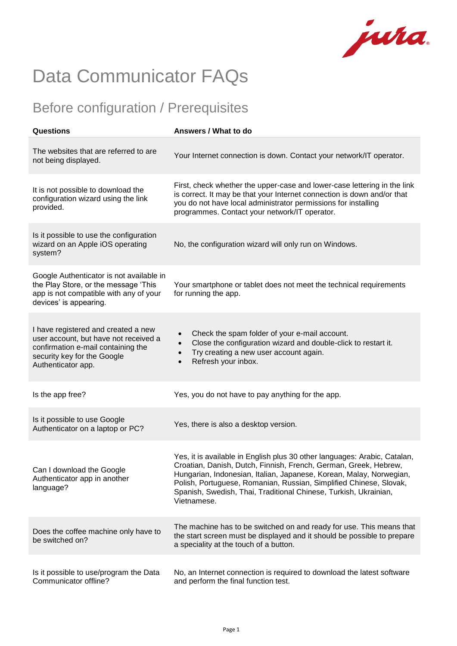jura.

## Data Communicator FAQs

## Before configuration / Prerequisites

| Questions                                                                                                                                                               | Answers / What to do                                                                                                                                                                                                                                                                                                                                                          |
|-------------------------------------------------------------------------------------------------------------------------------------------------------------------------|-------------------------------------------------------------------------------------------------------------------------------------------------------------------------------------------------------------------------------------------------------------------------------------------------------------------------------------------------------------------------------|
| The websites that are referred to are<br>not being displayed.                                                                                                           | Your Internet connection is down. Contact your network/IT operator.                                                                                                                                                                                                                                                                                                           |
| It is not possible to download the<br>configuration wizard using the link<br>provided.                                                                                  | First, check whether the upper-case and lower-case lettering in the link<br>is correct. It may be that your Internet connection is down and/or that<br>you do not have local administrator permissions for installing<br>programmes. Contact your network/IT operator.                                                                                                        |
| Is it possible to use the configuration<br>wizard on an Apple iOS operating<br>system?                                                                                  | No, the configuration wizard will only run on Windows.                                                                                                                                                                                                                                                                                                                        |
| Google Authenticator is not available in<br>the Play Store, or the message 'This<br>app is not compatible with any of your<br>devices' is appearing.                    | Your smartphone or tablet does not meet the technical requirements<br>for running the app.                                                                                                                                                                                                                                                                                    |
| I have registered and created a new<br>user account, but have not received a<br>confirmation e-mail containing the<br>security key for the Google<br>Authenticator app. | Check the spam folder of your e-mail account.<br>Close the configuration wizard and double-click to restart it.<br>Try creating a new user account again.<br>Refresh your inbox.                                                                                                                                                                                              |
| Is the app free?                                                                                                                                                        | Yes, you do not have to pay anything for the app.                                                                                                                                                                                                                                                                                                                             |
| Is it possible to use Google<br>Authenticator on a laptop or PC?                                                                                                        | Yes, there is also a desktop version.                                                                                                                                                                                                                                                                                                                                         |
| Can I download the Google<br>Authenticator app in another<br>language?                                                                                                  | Yes, it is available in English plus 30 other languages: Arabic, Catalan,<br>Croatian, Danish, Dutch, Finnish, French, German, Greek, Hebrew,<br>Hungarian, Indonesian, Italian, Japanese, Korean, Malay, Norwegian,<br>Polish, Portuguese, Romanian, Russian, Simplified Chinese, Slovak,<br>Spanish, Swedish, Thai, Traditional Chinese, Turkish, Ukrainian,<br>Vietnamese. |
| Does the coffee machine only have to<br>be switched on?                                                                                                                 | The machine has to be switched on and ready for use. This means that<br>the start screen must be displayed and it should be possible to prepare<br>a speciality at the touch of a button.                                                                                                                                                                                     |
| Is it possible to use/program the Data<br>Communicator offline?                                                                                                         | No, an Internet connection is required to download the latest software<br>and perform the final function test.                                                                                                                                                                                                                                                                |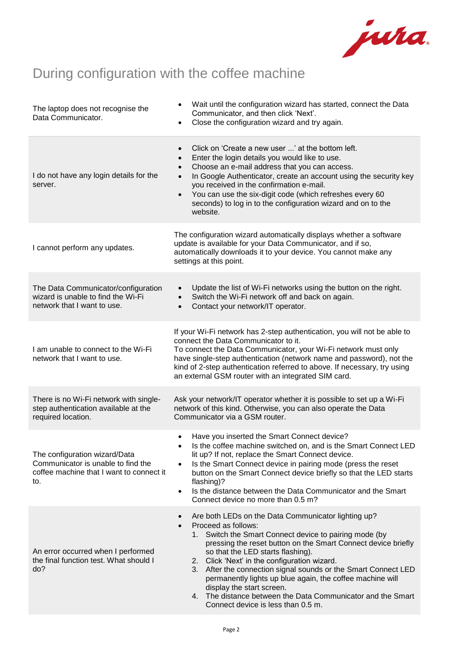

## During configuration with the coffee machine

| The laptop does not recognise the<br>Data Communicator.                                                                | Wait until the configuration wizard has started, connect the Data<br>Communicator, and then click 'Next'.<br>Close the configuration wizard and try again.<br>$\bullet$                                                                                                                                                                                                                                                                                                                                                                                                              |
|------------------------------------------------------------------------------------------------------------------------|--------------------------------------------------------------------------------------------------------------------------------------------------------------------------------------------------------------------------------------------------------------------------------------------------------------------------------------------------------------------------------------------------------------------------------------------------------------------------------------------------------------------------------------------------------------------------------------|
| I do not have any login details for the<br>server.                                                                     | Click on 'Create a new user ' at the bottom left.<br>Enter the login details you would like to use.<br>Choose an e-mail address that you can access.<br>In Google Authenticator, create an account using the security key<br>$\bullet$<br>you received in the confirmation e-mail.<br>You can use the six-digit code (which refreshes every 60<br>$\bullet$<br>seconds) to log in to the configuration wizard and on to the<br>website.                                                                                                                                              |
| I cannot perform any updates.                                                                                          | The configuration wizard automatically displays whether a software<br>update is available for your Data Communicator, and if so,<br>automatically downloads it to your device. You cannot make any<br>settings at this point.                                                                                                                                                                                                                                                                                                                                                        |
| The Data Communicator/configuration<br>wizard is unable to find the Wi-Fi<br>network that I want to use.               | Update the list of Wi-Fi networks using the button on the right.<br>$\bullet$<br>Switch the Wi-Fi network off and back on again.<br>$\bullet$<br>Contact your network/IT operator.<br>$\bullet$                                                                                                                                                                                                                                                                                                                                                                                      |
| I am unable to connect to the Wi-Fi<br>network that I want to use.                                                     | If your Wi-Fi network has 2-step authentication, you will not be able to<br>connect the Data Communicator to it.<br>To connect the Data Communicator, your Wi-Fi network must only<br>have single-step authentication (network name and password), not the<br>kind of 2-step authentication referred to above. If necessary, try using<br>an external GSM router with an integrated SIM card.                                                                                                                                                                                        |
| There is no Wi-Fi network with single-<br>step authentication available at the<br>required location.                   | Ask your network/IT operator whether it is possible to set up a Wi-Fi<br>network of this kind. Otherwise, you can also operate the Data<br>Communicator via a GSM router.                                                                                                                                                                                                                                                                                                                                                                                                            |
| The configuration wizard/Data<br>Communicator is unable to find the<br>coffee machine that I want to connect it<br>to. | Have you inserted the Smart Connect device?<br>$\bullet$<br>Is the coffee machine switched on, and is the Smart Connect LED<br>lit up? If not, replace the Smart Connect device.<br>Is the Smart Connect device in pairing mode (press the reset<br>$\bullet$<br>button on the Smart Connect device briefly so that the LED starts<br>flashing)?<br>Is the distance between the Data Communicator and the Smart<br>$\bullet$<br>Connect device no more than 0.5 m?                                                                                                                   |
| An error occurred when I performed<br>the final function test. What should I<br>do?                                    | Are both LEDs on the Data Communicator lighting up?<br>Proceed as follows:<br>$\bullet$<br>Switch the Smart Connect device to pairing mode (by<br>1.<br>pressing the reset button on the Smart Connect device briefly<br>so that the LED starts flashing).<br>Click 'Next' in the configuration wizard.<br>2.<br>After the connection signal sounds or the Smart Connect LED<br>3.<br>permanently lights up blue again, the coffee machine will<br>display the start screen.<br>The distance between the Data Communicator and the Smart<br>4.<br>Connect device is less than 0.5 m. |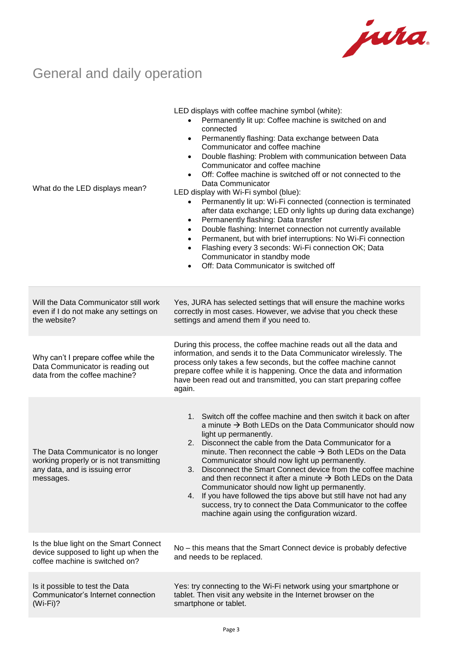

## General and daily operation

| What do the LED displays mean?                                                                                               | LED displays with coffee machine symbol (white):<br>Permanently lit up: Coffee machine is switched on and<br>connected<br>Permanently flashing: Data exchange between Data<br>$\bullet$<br>Communicator and coffee machine<br>Double flashing: Problem with communication between Data<br>$\bullet$<br>Communicator and coffee machine<br>Off: Coffee machine is switched off or not connected to the<br>$\bullet$<br>Data Communicator<br>LED display with Wi-Fi symbol (blue):<br>Permanently lit up: Wi-Fi connected (connection is terminated<br>$\bullet$<br>after data exchange; LED only lights up during data exchange)<br>Permanently flashing: Data transfer<br>$\bullet$<br>Double flashing: Internet connection not currently available<br>$\bullet$<br>Permanent, but with brief interruptions: No Wi-Fi connection<br>$\bullet$<br>Flashing every 3 seconds: Wi-Fi connection OK; Data<br>$\bullet$<br>Communicator in standby mode<br>Off: Data Communicator is switched off |
|------------------------------------------------------------------------------------------------------------------------------|---------------------------------------------------------------------------------------------------------------------------------------------------------------------------------------------------------------------------------------------------------------------------------------------------------------------------------------------------------------------------------------------------------------------------------------------------------------------------------------------------------------------------------------------------------------------------------------------------------------------------------------------------------------------------------------------------------------------------------------------------------------------------------------------------------------------------------------------------------------------------------------------------------------------------------------------------------------------------------------------|
| Will the Data Communicator still work<br>even if I do not make any settings on<br>the website?                               | Yes, JURA has selected settings that will ensure the machine works<br>correctly in most cases. However, we advise that you check these<br>settings and amend them if you need to.                                                                                                                                                                                                                                                                                                                                                                                                                                                                                                                                                                                                                                                                                                                                                                                                           |
| Why can't I prepare coffee while the<br>Data Communicator is reading out<br>data from the coffee machine?                    | During this process, the coffee machine reads out all the data and<br>information, and sends it to the Data Communicator wirelessly. The<br>process only takes a few seconds, but the coffee machine cannot<br>prepare coffee while it is happening. Once the data and information<br>have been read out and transmitted, you can start preparing coffee<br>again.                                                                                                                                                                                                                                                                                                                                                                                                                                                                                                                                                                                                                          |
| The Data Communicator is no longer<br>working properly or is not transmitting<br>any data, and is issuing error<br>messages. | 1. Switch off the coffee machine and then switch it back on after<br>a minute $\rightarrow$ Both LEDs on the Data Communicator should now<br>light up permanently.<br>Disconnect the cable from the Data Communicator for a<br>2.<br>minute. Then reconnect the cable $\rightarrow$ Both LEDs on the Data<br>Communicator should now light up permanently.<br>Disconnect the Smart Connect device from the coffee machine<br>3.<br>and then reconnect it after a minute $\rightarrow$ Both LEDs on the Data<br>Communicator should now light up permanently.<br>4. If you have followed the tips above but still have not had any<br>success, try to connect the Data Communicator to the coffee<br>machine again using the configuration wizard.                                                                                                                                                                                                                                           |
| Is the blue light on the Smart Connect<br>device supposed to light up when the<br>coffee machine is switched on?             | No - this means that the Smart Connect device is probably defective<br>and needs to be replaced.                                                                                                                                                                                                                                                                                                                                                                                                                                                                                                                                                                                                                                                                                                                                                                                                                                                                                            |
| Is it possible to test the Data<br>Communicator's Internet connection<br>$(Wi-Fi)$ ?                                         | Yes: try connecting to the Wi-Fi network using your smartphone or<br>tablet. Then visit any website in the Internet browser on the<br>smartphone or tablet.                                                                                                                                                                                                                                                                                                                                                                                                                                                                                                                                                                                                                                                                                                                                                                                                                                 |